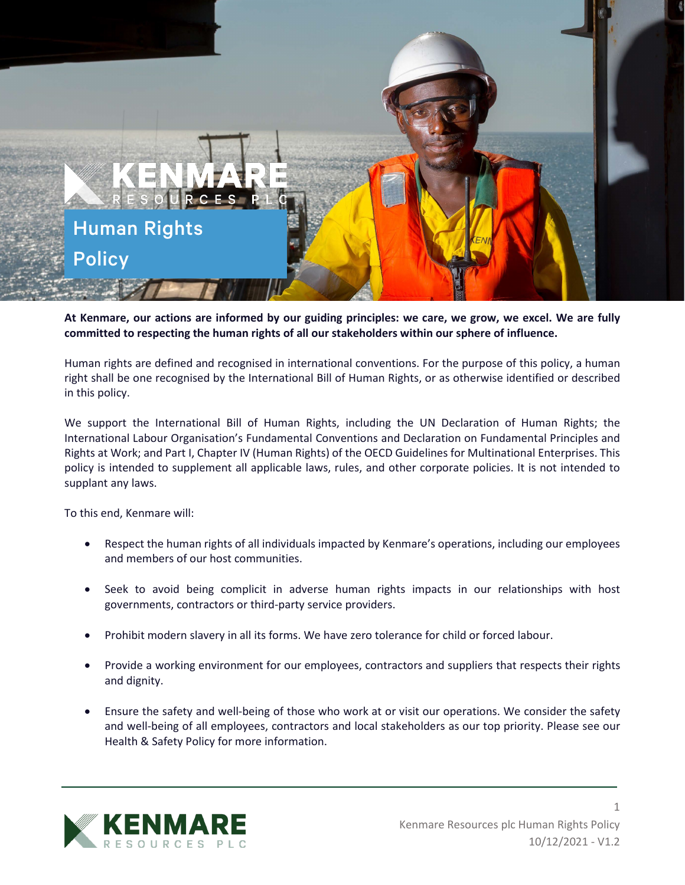

**At Kenmare, our actions are informed by our guiding principles: we care, we grow, we excel. We are fully committed to respecting the human rights of all our stakeholders within our sphere of influence.**

Human rights are defined and recognised in international conventions. For the purpose of this policy, a human right shall be one recognised by the International Bill of Human Rights, or as otherwise identified or described in this policy.

We support the International Bill of Human Rights, including the UN Declaration of Human Rights; the International Labour Organisation's Fundamental Conventions and Declaration on Fundamental Principles and Rights at Work; and Part I, Chapter IV (Human Rights) of the OECD Guidelines for Multinational Enterprises. This policy is intended to supplement all applicable laws, rules, and other corporate policies. It is not intended to supplant any laws.

To this end, Kenmare will:

- Respect the human rights of all individuals impacted by Kenmare's operations, including our employees and members of our host communities.
- Seek to avoid being complicit in adverse human rights impacts in our relationships with host governments, contractors or third-party service providers.
- Prohibit modern slavery in all its forms. We have zero tolerance for child or forced labour.
- Provide a working environment for our employees, contractors and suppliers that respects their rights and dignity.
- Ensure the safety and well-being of those who work at or visit our operations. We consider the safety and well-being of all employees, contractors and local stakeholders as our top priority. Please see our Health & Safety Policy for more information.



1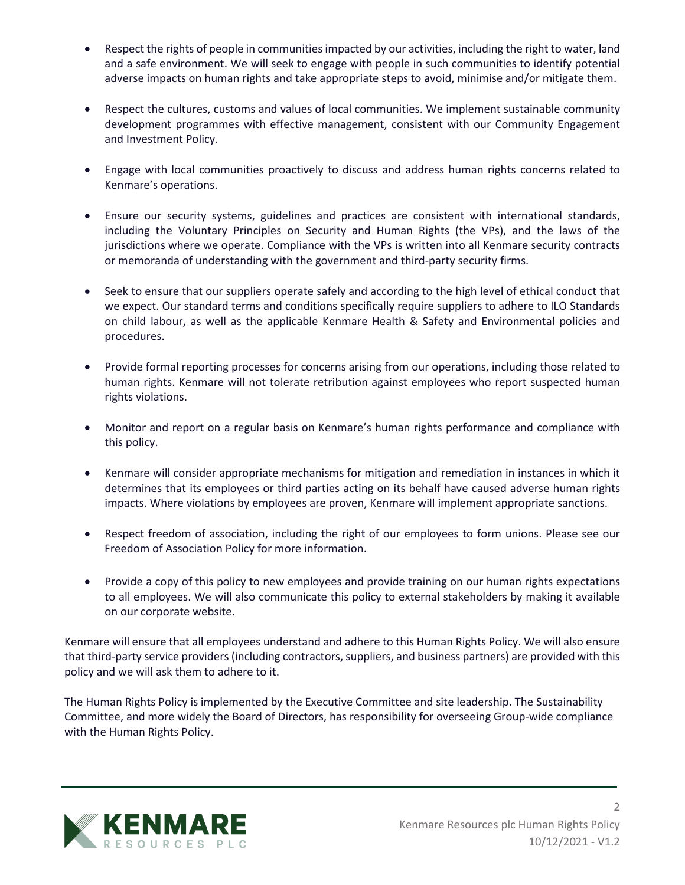- Respect the rights of people in communities impacted by our activities, including the right to water, land and a safe environment. We will seek to engage with people in such communities to identify potential adverse impacts on human rights and take appropriate steps to avoid, minimise and/or mitigate them.
- Respect the cultures, customs and values of local communities. We implement sustainable community development programmes with effective management, consistent with our Community Engagement and Investment Policy.
- Engage with local communities proactively to discuss and address human rights concerns related to Kenmare's operations.
- Ensure our security systems, guidelines and practices are consistent with international standards, including the Voluntary Principles on Security and Human Rights (the VPs), and the laws of the jurisdictions where we operate. Compliance with the VPs is written into all Kenmare security contracts or memoranda of understanding with the government and third-party security firms.
- Seek to ensure that our suppliers operate safely and according to the high level of ethical conduct that we expect. Our standard terms and conditions specifically require suppliers to adhere to ILO Standards on child labour, as well as the applicable Kenmare Health & Safety and Environmental policies and procedures.
- Provide formal reporting processes for concerns arising from our operations, including those related to human rights. Kenmare will not tolerate retribution against employees who report suspected human rights violations.
- Monitor and report on a regular basis on Kenmare's human rights performance and compliance with this policy.
- Kenmare will consider appropriate mechanisms for mitigation and remediation in instances in which it determines that its employees or third parties acting on its behalf have caused adverse human rights impacts. Where violations by employees are proven, Kenmare will implement appropriate sanctions.
- Respect freedom of association, including the right of our employees to form unions. Please see our Freedom of Association Policy for more information.
- Provide a copy of this policy to new employees and provide training on our human rights expectations to all employees. We will also communicate this policy to external stakeholders by making it available on our corporate website.

Kenmare will ensure that all employees understand and adhere to this Human Rights Policy. We will also ensure that third-party service providers (including contractors, suppliers, and business partners) are provided with this policy and we will ask them to adhere to it.

The Human Rights Policy is implemented by the Executive Committee and site leadership. The Sustainability Committee, and more widely the Board of Directors, has responsibility for overseeing Group-wide compliance with the Human Rights Policy.



2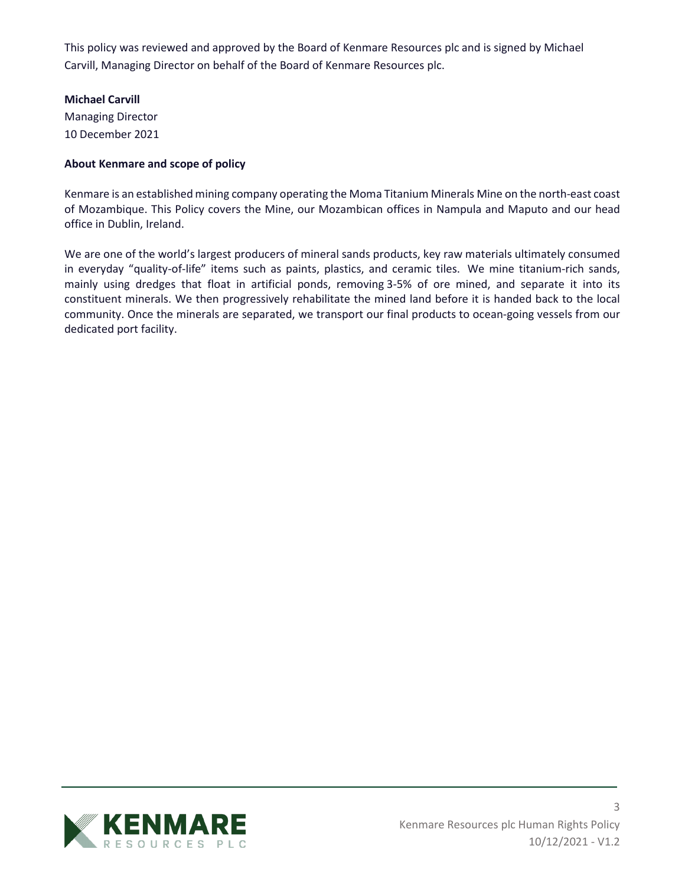This policy was reviewed and approved by the Board of Kenmare Resources plc and is signed by Michael Carvill, Managing Director on behalf of the Board of Kenmare Resources plc.

## **Michael Carvill**

Managing Director 10 December 2021

## **About Kenmare and scope of policy**

Kenmare is an established mining company operating the Moma Titanium Minerals Mine on the north-east coast of Mozambique. This Policy covers the Mine, our Mozambican offices in Nampula and Maputo and our head office in Dublin, Ireland.

We are one of the world's largest producers of mineral sands products, key raw materials ultimately consumed in everyday "quality-of-life" items such as paints, plastics, and ceramic tiles. We mine titanium-rich sands, mainly using dredges that float in artificial ponds, removing 3-5% of ore mined, and separate it into its constituent minerals. We then progressively rehabilitate the mined land before it is handed back to the local community. Once the minerals are separated, we transport our final products to ocean-going vessels from our dedicated port facility.